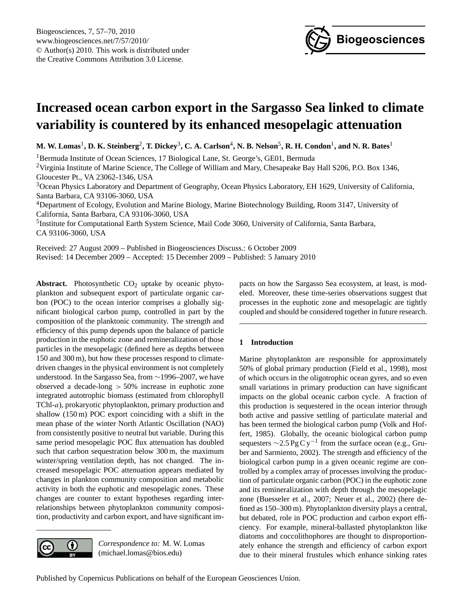

# <span id="page-0-0"></span>**Increased ocean carbon export in the Sargasso Sea linked to climate variability is countered by its enhanced mesopelagic attenuation**

 $M$ . W. Lomas<sup>1</sup>, D. K. Steinberg<sup>2</sup>, T. Dickey<sup>3</sup>, C. A. Carlson<sup>4</sup>, N. B. Nelson<sup>5</sup>, R. H. Condon<sup>1</sup>, and N. R. Bates<sup>1</sup>

<sup>1</sup>Bermuda Institute of Ocean Sciences, 17 Biological Lane, St. George's, GE01, Bermuda <sup>2</sup>Virginia Institute of Marine Science, The College of William and Mary, Chesapeake Bay Hall S206, P.O. Box 1346, Gloucester Pt., VA 23062-1346, USA

<sup>3</sup>Ocean Physics Laboratory and Department of Geography, Ocean Physics Laboratory, EH 1629, University of California, Santa Barbara, CA 93106-3060, USA

<sup>4</sup>Department of Ecology, Evolution and Marine Biology, Marine Biotechnology Building, Room 3147, University of California, Santa Barbara, CA 93106-3060, USA

<sup>5</sup>Institute for Computational Earth System Science, Mail Code 3060, University of California, Santa Barbara, CA 93106-3060, USA

Received: 27 August 2009 – Published in Biogeosciences Discuss.: 6 October 2009 Revised: 14 December 2009 – Accepted: 15 December 2009 – Published: 5 January 2010

**Abstract.** Photosynthetic  $CO<sub>2</sub>$  uptake by oceanic phytoplankton and subsequent export of particulate organic carbon (POC) to the ocean interior comprises a globally significant biological carbon pump, controlled in part by the composition of the planktonic community. The strength and efficiency of this pump depends upon the balance of particle production in the euphotic zone and remineralization of those particles in the mesopelagic (defined here as depths between 150 and 300 m), but how these processes respond to climatedriven changes in the physical environment is not completely understood. In the Sargasso Sea, from ∼1996–2007, we have observed a decade-long > 50% increase in euphotic zone integrated autotrophic biomass (estimated from chlorophyll TChl-a), prokaryotic phytoplankton, primary production and shallow (150 m) POC export coinciding with a shift in the mean phase of the winter North Atlantic Oscillation (NAO) from consistently positive to neutral but variable. During this same period mesopelagic POC flux attenuation has doubled such that carbon sequestration below 300 m, the maximum winter/spring ventilation depth, has not changed. The increased mesopelagic POC attenuation appears mediated by changes in plankton community composition and metabolic activity in both the euphotic and mesopelagic zones. These changes are counter to extant hypotheses regarding interrelationships between phytoplankton community composition, productivity and carbon export, and have significant im-



*Correspondence to:* M. W. Lomas (michael.lomas@bios.edu)

pacts on how the Sargasso Sea ecosystem, at least, is modeled. Moreover, these time-series observations suggest that processes in the euphotic zone and mesopelagic are tightly coupled and should be considered together in future research.

# **1 Introduction**

Marine phytoplankton are responsible for approximately 50% of global primary production (Field et al., 1998), most of which occurs in the oligotrophic ocean gyres, and so even small variations in primary production can have significant impacts on the global oceanic carbon cycle. A fraction of this production is sequestered in the ocean interior through both active and passive settling of particulate material and has been termed the biological carbon pump (Volk and Hoffert, 1985). Globally, the oceanic biological carbon pump sequesters  $\sim$ 2.5 Pg C y<sup>-1</sup> from the surface ocean (e.g., Gruber and Sarmiento, 2002). The strength and efficiency of the biological carbon pump in a given oceanic regime are controlled by a complex array of processes involving the production of particulate organic carbon (POC) in the euphotic zone and its remineralization with depth through the mesopelagic zone (Buesseler et al., 2007; Neuer et al., 2002) (here defined as 150–300 m). Phytoplankton diversity plays a central, but debated, role in POC production and carbon export efficiency. For example, mineral-ballasted phytoplankton like diatoms and coccolithophores are thought to disproportionately enhance the strength and efficiency of carbon export due to their mineral frustules which enhance sinking rates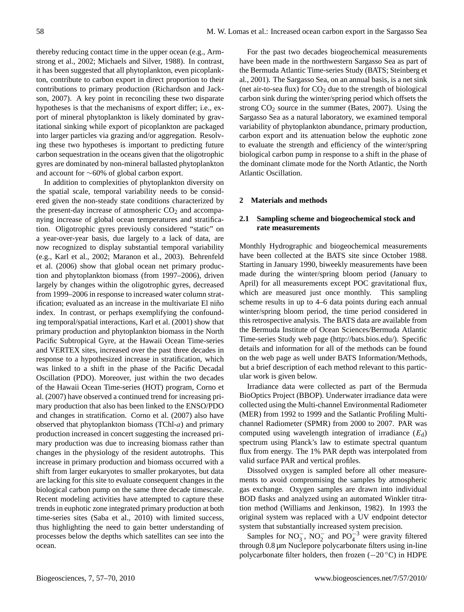thereby reducing contact time in the upper ocean (e.g., Armstrong et al., 2002; Michaels and Silver, 1988). In contrast, it has been suggested that all phytoplankton, even picoplankton, contribute to carbon export in direct proportion to their contributions to primary production (Richardson and Jackson, 2007). A key point in reconciling these two disparate hypotheses is that the mechanisms of export differ; i.e., export of mineral phytoplankton is likely dominated by gravitational sinking while export of picoplankton are packaged into larger particles via grazing and/or aggregation. Resolving these two hypotheses is important to predicting future carbon sequestration in the oceans given that the oligotrophic gyres are dominated by non-mineral ballasted phytoplankton and account for ∼60% of global carbon export.

In addition to complexities of phytoplankton diversity on the spatial scale, temporal variability needs to be considered given the non-steady state conditions characterized by the present-day increase of atmospheric  $CO<sub>2</sub>$  and accompanying increase of global ocean temperatures and stratification. Oligotrophic gyres previously considered "static" on a year-over-year basis, due largely to a lack of data, are now recognized to display substantial temporal variability (e.g., Karl et al., 2002; Maranon et al., 2003). Behrenfeld et al. (2006) show that global ocean net primary production and phytoplankton biomass (from 1997–2006), driven largely by changes within the oligotrophic gyres, decreased from 1999–2006 in response to increased water column stratification; evaluated as an increase in the multivariate El niño index. In contrast, or perhaps exemplifying the confounding temporal/spatial interactions, Karl et al. (2001) show that primary production and phytoplankton biomass in the North Pacific Subtropical Gyre, at the Hawaii Ocean Time-series and VERTEX sites, increased over the past three decades in response to a hypothesized increase in stratification, which was linked to a shift in the phase of the Pacific Decadal Oscillation (PDO). Moreover, just within the two decades of the Hawaii Ocean Time-series (HOT) program, Corno et al. (2007) have observed a continued trend for increasing primary production that also has been linked to the ENSO/PDO and changes in stratification. Corno et al. (2007) also have observed that phytoplankton biomass (TChl-a) and primary production increased in concert suggesting the increased primary production was due to increasing biomass rather than changes in the physiology of the resident autotrophs. This increase in primary production and biomass occurred with a shift from larger eukaryotes to smaller prokaryotes, but data are lacking for this site to evaluate consequent changes in the biological carbon pump on the same three decade timescale. Recent modeling activities have attempted to capture these trends in euphotic zone integrated primary production at both time-series sites (Saba et al., 2010) with limited success, thus highlighting the need to gain better understanding of processes below the depths which satellites can see into the ocean.

For the past two decades biogeochemical measurements have been made in the northwestern Sargasso Sea as part of the Bermuda Atlantic Time-series Study (BATS; Steinberg et al., 2001). The Sargasso Sea, on an annual basis, is a net sink (net air-to-sea flux) for  $CO<sub>2</sub>$  due to the strength of biological carbon sink during the winter/spring period which offsets the strong  $CO<sub>2</sub>$  source in the summer (Bates, 2007). Using the Sargasso Sea as a natural laboratory, we examined temporal variability of phytoplankton abundance, primary production, carbon export and its attenuation below the euphotic zone to evaluate the strength and efficiency of the winter/spring biological carbon pump in response to a shift in the phase of the dominant climate mode for the North Atlantic, the North Atlantic Oscillation.

### **2 Materials and methods**

## **2.1 Sampling scheme and biogeochemical stock and rate measurements**

Monthly Hydrographic and biogeochemical measurements have been collected at the BATS site since October 1988. Starting in January 1990, biweekly measurements have been made during the winter/spring bloom period (January to April) for all measurements except POC gravitational flux, which are measured just once monthly. This sampling scheme results in up to 4–6 data points during each annual winter/spring bloom period, the time period considered in this retrospective analysis. The BATS data are available from the Bermuda Institute of Ocean Sciences/Bermuda Atlantic Time-series Study web page [\(http://bats.bios.edu/\)](http://bats.bios.edu/). Specific details and information for all of the methods can be found on the web page as well under BATS Information/Methods, but a brief description of each method relevant to this particular work is given below.

Irradiance data were collected as part of the Bermuda BioOptics Project (BBOP). Underwater irradiance data were collected using the Multi-channel Environmental Radiometer (MER) from 1992 to 1999 and the Satlantic Profiling Multichannel Radiometer (SPMR) from 2000 to 2007. PAR was computed using wavelength integration of irradiance  $(E_d)$ spectrum using Planck's law to estimate spectral quantum flux from energy. The 1% PAR depth was interpolated from valid surface PAR and vertical profiles.

Dissolved oxygen is sampled before all other measurements to avoid compromising the samples by atmospheric gas exchange. Oxygen samples are drawn into individual BOD flasks and analyzed using an automated Winkler titration method (Williams and Jenkinson, 1982). In 1993 the original system was replaced with a UV endpoint detector system that substantially increased system precision.

Samples for  $NO_3^-$ ,  $NO_2^-$  and  $PO_4^{-3}$  were gravity filtered through 0.8 µm Nuclepore polycarbonate filters using in-line polycarbonate filter holders, then frozen (−20 ◦C) in HDPE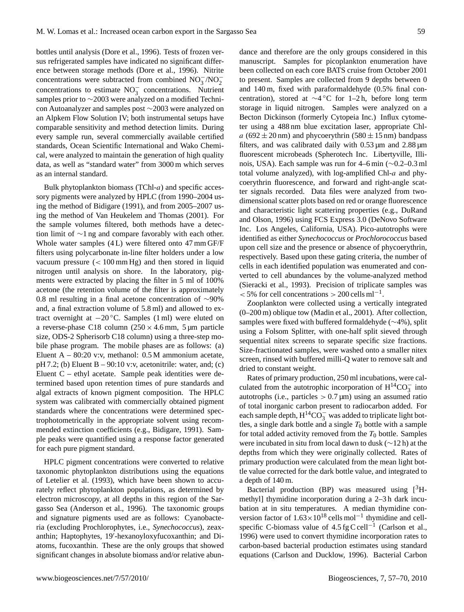bottles until analysis (Dore et al., 1996). Tests of frozen versus refrigerated samples have indicated no significant difference between storage methods (Dore et al., 1996). Nitrite concentrations were subtracted from combined  $NO_3^-/NO_2^$ concentrations to estimate  $NO_3^-$  concentrations. Nutrient samples prior to ∼2003 were analyzed on a modified Technicon Autoanalyzer and samples post ∼2003 were analyzed on an Alpkem Flow Solution IV; both instrumental setups have comparable sensitivity and method detection limits. During every sample run, several commercially available certified standards, Ocean Scientific International and Wako Chemical, were analyzed to maintain the generation of high quality data, as well as "standard water" from 3000 m which serves as an internal standard.

Bulk phytoplankton biomass (TChl- $a$ ) and specific accessory pigments were analyzed by HPLC (from 1990–2004 using the method of Bidigare (1991), and from 2005–2007 using the method of Van Heukelem and Thomas (2001). For the sample volumes filtered, both methods have a detection limit of ∼1 ng and compare favorably with each other. Whole water samples (4 L) were filtered onto 47 mm GF/F filters using polycarbonate in-line filter holders under a low vacuum pressure  $\left($  < 100 mm Hg) and then stored in liquid nitrogen until analysis on shore. In the laboratory, pigments were extracted by placing the filter in 5 ml of 100% acetone (the retention volume of the filter is approximately 0.8 ml resulting in a final acetone concentration of ∼90% and, a final extraction volume of 5.8 ml) and allowed to extract overnight at  $-20$  °C. Samples (1 ml) were eluted on a reverse-phase C18 column  $(250 \times 4.6 \text{ mm}, 5 \text{ µm})$  particle size, ODS-2 Spherisorb C18 column) using a three-step mobile phase program. The mobile phases are as follows: (a) Eluent  $A - 80:20$  v:v, methanol: 0.5 M ammonium acetate,  $pH 7.2$ ; (b) Eluent B – 90:10 v:v, acetonitrile: water, and; (c) Eluent C – ethyl acetate. Sample peak identities were determined based upon retention times of pure standards and algal extracts of known pigment composition. The HPLC system was calibrated with commercially obtained pigment standards where the concentrations were determined spectrophotometrically in the appropriate solvent using recommended extinction coefficients (e.g., Bidigare, 1991). Sample peaks were quantified using a response factor generated for each pure pigment standard.

HPLC pigment concentrations were converted to relative taxonomic phytoplankton distributions using the equations of Letelier et al. (1993), which have been shown to accurately reflect phytoplankton populations, as determined by electron microscopy, at all depths in this region of the Sargasso Sea (Anderson et al., 1996). The taxonomic groups and signature pigments used are as follows: Cyanobacteria (excluding Prochlorophytes, i.e., *Synechococcus*), zeaxanthin; Haptophytes, 19'-hexanoyloxyfucoxanthin; and Diatoms, fucoxanthin. These are the only groups that showed significant changes in absolute biomass and/or relative abundance and therefore are the only groups considered in this manuscript. Samples for picoplankton enumeration have been collected on each core BATS cruise from October 2001 to present. Samples are collected from 9 depths between 0 and 140 m, fixed with paraformaldehyde (0.5% final concentration), stored at ∼4 ◦C for 1–2 h, before long term storage in liquid nitrogen. Samples were analyzed on a Becton Dickinson (formerly Cytopeia Inc.) Influx cytometer using a 488 nm blue excitation laser, appropriate Chla (692  $\pm$  20 nm) and phycoerythrin (580  $\pm$  15 nm) bandpass filters, and was calibrated daily with  $0.53 \,\mu m$  and  $2.88 \,\mu m$ fluorescent microbeads (Spherotech Inc. Libertyville, Illinois, USA). Each sample was run for 4–6 min (∼0.2–0.3 ml total volume analyzed), with log-amplified Chl-a and phycoerythrin fluorescence, and forward and right-angle scatter signals recorded. Data files were analyzed from twodimensional scatter plots based on red or orange fluorescence and characteristic light scattering properties (e.g., DuRand and Olson, 1996) using FCS Express 3.0 (DeNovo Software Inc. Los Angeles, California, USA). Pico-autotrophs were identified as either *Synechococcus* or *Prochlorococcus* based upon cell size and the presence or absence of phycoerythrin, respectively. Based upon these gating criteria, the number of cells in each identified population was enumerated and converted to cell abundances by the volume-analyzed method (Sieracki et al., 1993). Precision of triplicate samples was  $<$  5% for cell concentrations > 200 cells ml<sup>-1</sup>.

Zooplankton were collected using a vertically integrated (0–200 m) oblique tow (Madin et al., 2001). After collection, samples were fixed with buffered formaldehyde (∼4%), split using a Folsom Splitter, with one-half split sieved through sequential nitex screens to separate specific size fractions. Size-fractionated samples, were washed onto a smaller nitex screen, rinsed with buffered milli-Q water to remove salt and dried to constant weight.

Rates of primary production, 250 ml incubations, were calculated from the autotrophic incorporation of  $H^{14}CO_3^-$  into autotrophs (i.e., particles  $> 0.7 \,\mu$ m) using an assumed ratio of total inorganic carbon present to radiocarbon added. For each sample depth,  $H^{14}CO_3^-$  was added to triplicate light bottles, a single dark bottle and a single  $T_0$  bottle with a sample for total added activity removed from the  $T_0$  bottle. Samples were incubated in situ from local dawn to dusk (∼12 h) at the depths from which they were originally collected. Rates of primary production were calculated from the mean light bottle value corrected for the dark bottle value, and integrated to a depth of 140 m.

Bacterial production (BP) was measured using  $[{}^{3}H-{}^{3}H]$ methyl] thymidine incorporation during a 2–3 h dark incubation at in situ temperatures. A median thymidine conversion factor of 1.63×10<sup>18</sup> cells mol<sup>-1</sup> thymidine and cellspecific C-biomass value of  $4.5$  fg C cell<sup>-1</sup> (Carlson et al., 1996) were used to convert thymidine incorporation rates to carbon-based bacterial production estimates using standard equations (Carlson and Ducklow, 1996). Bacterial Carbon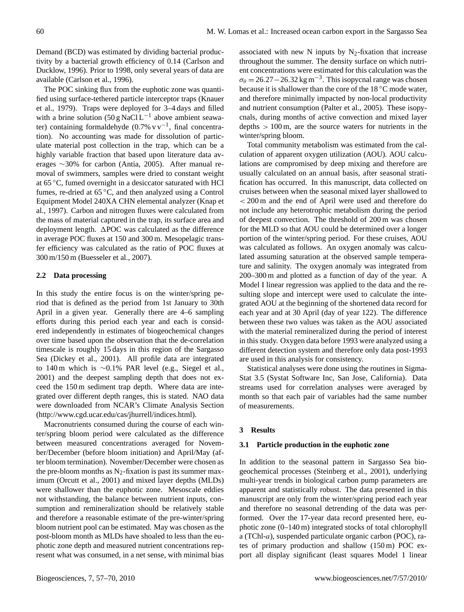Demand (BCD) was estimated by dividing bacterial productivity by a bacterial growth efficiency of 0.14 (Carlson and Ducklow, 1996). Prior to 1998, only several years of data are available (Carlson et al., 1996).

The POC sinking flux from the euphotic zone was quantified using surface-tethered particle interceptor traps (Knauer et al., 1979). Traps were deployed for 3–4 days and filled with a brine solution  $(50 g NaCl L^{-1})$  above ambient seawater) containing formaldehyde  $(0.7% \text{ v v}^{-1})$ , final concentration). No accounting was made for dissolution of particulate material post collection in the trap, which can be a highly variable fraction that based upon literature data averages ∼30% for carbon (Antia, 2005). After manual removal of swimmers, samples were dried to constant weight at 65 ◦C, fumed overnight in a desiccator saturated with HCl fumes, re-dried at 65 ◦C, and then analyzed using a Control Equipment Model 240XA CHN elemental analyzer (Knap et al., 1997). Carbon and nitrogen fluxes were calculated from the mass of material captured in the trap, its surface area and deployment length.  $\triangle$ POC was calculated as the difference in average POC fluxes at 150 and 300 m. Mesopelagic transfer efficiency was calculated as the ratio of POC fluxes at 300 m/150 m (Buesseler et al., 2007).

## **2.2 Data processing**

In this study the entire focus is on the winter/spring period that is defined as the period from 1st January to 30th April in a given year. Generally there are 4–6 sampling efforts during this period each year and each is considered independently in estimates of biogeochemical changes over time based upon the observation that the de-correlation timescale is roughly 15 days in this region of the Sargasso Sea (Dickey et al., 2001). All profile data are integrated to 140 m which is ∼0.1% PAR level (e.g., Siegel et al., 2001) and the deepest sampling depth that does not exceed the 150 m sediment trap depth. Where data are integrated over different depth ranges, this is stated. NAO data were downloaded from NCAR's Climate Analysis Section [\(http://www.cgd.ucar.edu/cas/jhurrell/indices.html\)](http://www.cgd.ucar.edu/cas/jhurrell/indices.html).

Macronutrients consumed during the course of each winter/spring bloom period were calculated as the difference between measured concentrations averaged for November/December (before bloom initiation) and April/May (after bloom termination). November/December were chosen as the pre-bloom months as  $N_2$ -fixation is past its summer maximum (Orcutt et al., 2001) and mixed layer depths (MLDs) were shallower than the euphotic zone. Mesoscale eddies not withstanding, the balance between nutrient inputs, consumption and remineralization should be relatively stable and therefore a reasonable estimate of the pre-winter/spring bloom nutrient pool can be estimated. May was chosen as the post-bloom month as MLDs have shoaled to less than the euphotic zone depth and measured nutrient concentrations represent what was consumed, in a net sense, with minimal bias associated with new N inputs by  $N_2$ -fixation that increase throughout the summer. The density surface on which nutrient concentrations were estimated for this calculation was the  $\sigma_{\theta} = 26.27 - 26.32 \,\text{kg m}^{-3}$ . This isopycnal range was chosen because it is shallower than the core of the 18 °C mode water, and therefore minimally impacted by non-local productivity and nutrient consumption (Palter et al., 2005). These isopycnals, during months of active convection and mixed layer depths  $> 100 \,\mathrm{m}$ , are the source waters for nutrients in the winter/spring bloom.

Total community metabolism was estimated from the calculation of apparent oxygen utilization (AOU). AOU calculations are compromised by deep mixing and therefore are usually calculated on an annual basis, after seasonal stratification has occurred. In this manuscript, data collected on cruises between when the seasonal mixed layer shallowed to < 200 m and the end of April were used and therefore do not include any heterotrophic metabolism during the period of deepest convection. The threshold of 200 m was chosen for the MLD so that AOU could be determined over a longer portion of the winter/spring period. For these cruises, AOU was calculated as follows. An oxygen anomaly was calculated assuming saturation at the observed sample temperature and salinity. The oxygen anomaly was integrated from 200–300 m and plotted as a function of day of the year. A Model I linear regression was applied to the data and the resulting slope and intercept were used to calculate the integrated AOU at the beginning of the shortened data record for each year and at 30 April (day of year 122). The difference between these two values was taken as the AOU associated with the material remineralized during the period of interest in this study. Oxygen data before 1993 were analyzed using a different detection system and therefore only data post-1993 are used in this analysis for consistency.

Statistical analyses were done using the routines in Sigma-Stat 3.5 (Systat Software Inc, San Jose, California). Data streams used for correlation analyses were averaged by month so that each pair of variables had the same number of measurements.

#### **3 Results**

#### **3.1 Particle production in the euphotic zone**

In addition to the seasonal pattern in Sargasso Sea biogeochemical processes (Steinberg et al., 2001), underlying multi-year trends in biological carbon pump parameters are apparent and statistically robust. The data presented in this manuscript are only from the winter/spring period each year and therefore no seasonal detrending of the data was performed. Over the 17-year data record presented here, euphotic zone (0–140 m) integrated stocks of total chlorophyll a (TChl-a), suspended particulate organic carbon (POC), rates of primary production and shallow (150 m) POC export all display significant (least squares Model 1 linear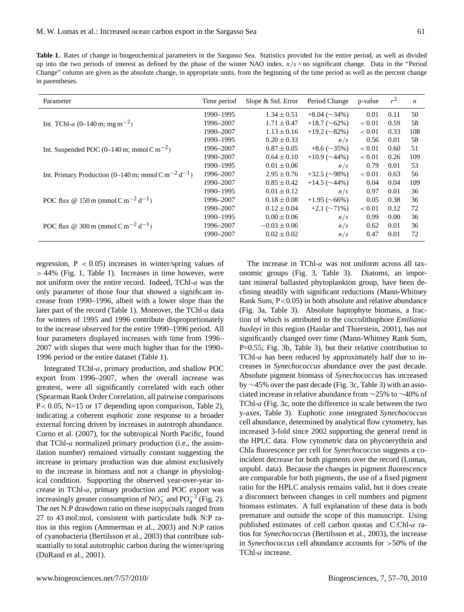**Table 1.** Rates of change in biogeochemical parameters in the Sargasso Sea. Statistics provided for the entire period, as well as divided up into the two periods of interest as defined by the phase of the winter NAO index.  $n/s =$  no significant change. Data in the "Period Change" column are given as the absolute change, in appropriate units, from the beginning of the time period as well as the percent change in parentheses.

| Parameter                                                                  | Time period | Slope & Std. Error | Period Change         | p-value | $r^2$ | $\boldsymbol{n}$ |
|----------------------------------------------------------------------------|-------------|--------------------|-----------------------|---------|-------|------------------|
|                                                                            | 1990-1995   | $1.34 \pm 0.51$    | $+8.04\;(\sim)34\%$   | 0.01    | 0.11  | 50               |
| Int. TChl-a $(0-140 \text{ m}; \text{mg m}^{-2})$                          | 1996-2007   | $1.71 \pm 0.47$    | $+18.7$ ( $\sim$ 62%) | < 0.01  | 0.59  | 58               |
|                                                                            | 1990-2007   | $1.13 \pm 0.16$    | $+19.2$ ( $\sim$ 82%) | < 0.01  | 0.33  | 108              |
|                                                                            | 1990-1995   | $0.20 \pm 0.33$    | n/s                   | 0.56    | 0.01  | 58               |
| Int. Suspended POC $(0-140 \text{ m}; \text{mmol C m}^{-2})$               | 1996–2007   | $0.87 \pm 0.05$    | $+8.6$ ( $\sim$ 35%)  | < 0.01  | 0.60  | 51               |
|                                                                            | 1990-2007   | $0.64 \pm 0.10$    | $+10.9$ ( $\sim$ 44%) | < 0.01  | 0.26  | 109              |
|                                                                            | 1990–1995   | $0.01 \pm 0.06$    | n/s                   | 0.79    | 0.01  | 53               |
| Int. Primary Production (0–140 m; mmol C m <sup>-2</sup> d <sup>-1</sup> ) | 1996-2007   | $2.95 \pm 0.76$    | $+32.5$ ( $\sim$ 98%) | < 0.01  | 0.63  | 56               |
|                                                                            | 1990-2007   | $0.85 \pm 0.42$    | $+14.5$ ( $\sim$ 44%) | 0.04    | 0.04  | 109              |
|                                                                            | 1990-1995   | $0.01 \pm 0.12$    | n/s                   | 0.97    | 0.01  | 36               |
| POC flux @ 150 m (mmol C m <sup>-2</sup> d <sup>-1</sup> )                 | 1996-2007   | $0.18 \pm 0.08$    | $+1.95\;(\sim 66\%)$  | 0.05    | 0.38  | 36               |
|                                                                            | 1990-2007   | $0.12 \pm 0.04$    | $+2.1\;(\sim 71\%)$   | < 0.01  | 0.12  | 72               |
|                                                                            | 1990–1995   | $0.00 \pm 0.06$    | n/s                   | 0.99    | 0.00  | 36               |
| POC flux @ 300 m (mmol C m <sup>-2</sup> d <sup>-1</sup> )                 | 1996–2007   | $-0.03 \pm 0.06$   | n/s                   | 0.62    | 0.01  | 36               |
|                                                                            | 1990–2007   | $0.02 \pm 0.02$    | n/s                   | 0.47    | 0.01  | 72               |

regression,  $P < 0.05$ ) increases in winter/spring values of  $> 44\%$  (Fig. 1, Table 1). Increases in time however, were not uniform over the entire record. Indeed, TChl-a was the only parameter of those four that showed a significant increase from 1990–1996, albeit with a lower slope than the later part of the record (Table 1). Moreover, the TChl-a data for winters of 1995 and 1996 contribute disproportionately to the increase observed for the entire 1990–1996 period. All four parameters displayed increases with time from 1996– 2007 with slopes that were much higher than for the 1990– 1996 period or the entire dataset (Table 1).

Integrated TChl-a, primary production, and shallow POC export from 1996–2007, when the overall increase was greatest, were all significantly correlated with each other (Spearman Rank Order Correlation, all pairwise comparisons P< 0.05, N=15 or 17 depending upon comparison, Table 2), indicating a coherent euphotic zone response to a broader external forcing driven by increases in autotroph abundance. Corno et al. (2007), for the subtropical North Pacific, found that TChl-a normalized primary production (i.e., the assimilation number) remained virtually constant suggesting the increase in primary production was due almost exclusively to the increase in biomass and not a change in physiological condition. Supporting the observed year-over-year increase in TChl-a, primary production and POC export was increasingly greater consumption of NO<sub>3</sub> and PO<sub>4</sub><sup>-3</sup> (Fig. 2). The net N:P drawdown ratio on these isopycnals ranged from 27 to 43 mol:mol, consistent with particulate bulk N:P ratios in this region (Ammerman et al., 2003) and N:P ratios of cyanobacteria (Bertilsson et al., 2003) that contribute substantially to total autotrophic carbon during the winter/spring (DuRand et al., 2001).

The increase in TChl-a was not uniform across all taxonomic groups (Fig. 3, Table 3). Diatoms, an important mineral ballasted phytoplankton group, have been declining steadily with significant reductions (Mann-Whitney Rank Sum, P<0.05) in both absolute and relative abundance (Fig. 3a, Table 3). Absolute haptophyte biomass, a fraction of which is attributed to the coccolithophore *Emiliania huxleyi* in this region (Haidar and Thierstein, 2001), has not significantly changed over time (Mann-Whitney Rank Sum, P=0.55; Fig. 3b, Table 3), but their relative contribution to TChl-a has been reduced by approximately half due to increases in *Synechococcus* abundance over the past decade. Absolute pigment biomass of *Synechococcus* has increased by ∼45% over the past decade (Fig. 3c, Table 3) with an associated increase in relative abundance from ∼25% to ∼40% of TChl-a (Fig. 3c, note the difference in scale between the two y-axes, Table 3). Euphotic zone integrated *Synechococcus* cell abundance, determined by analytical flow cytometry, has increased 3-fold since 2002 supporting the general trend in the HPLC data. Flow cytometric data on phycoerythrin and Chla fluorescence per cell for *Synechococcus* suggests a coincident decrease for both pigments over the record (Lomas, unpubl. data). Because the changes in pigment fluorescence are comparable for both pigments, the use of a fixed pigment ratio for the HPLC analysis remains valid, but it does create a disconnect between changes in cell numbers and pigment biomass estimates. A full explanation of these data is both premature and outside the scope of this manuscript. Using published estimates of cell carbon quotas and C:Chl-a ratios for *Synechococcus* (Bertilsson et al., 2003), the increase in *Synechococcus* cell abundance accounts for >50% of the TChl-a increase.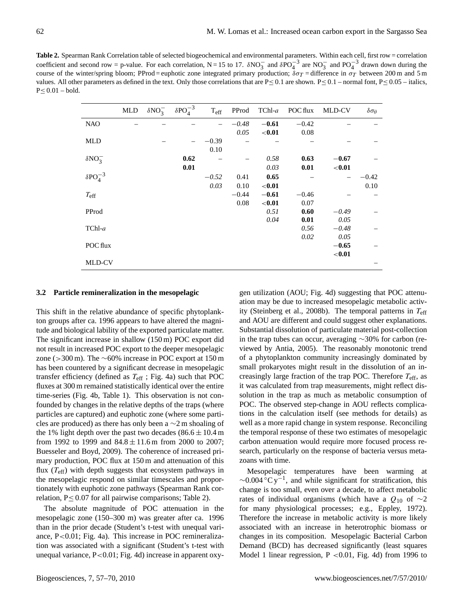**Table 2.** Spearman Rank Correlation table of selected biogeochemical and environmental parameters. Within each cell, first row = correlation coefficient and second row = p-value. For each correlation,  $N = 15$  to 17.  $\delta NO_3^-$  and  $\delta PO_4^{-3}$  are  $NO_3^-$  and  $PO_4^{-3}$  drawn down during the course of the winter/spring bloom; PProd = euphotic zone integrated primary production;  $\delta \sigma_T$  = difference in  $\sigma_T$  between 200 m and 5 m values. All other parameters as defined in the text. Only those correlations that are  $P \le 0.1$  are shown.  $P \le 0.1$  – normal font,  $P \le 0.05$  – italics,  $P \leq 0.01 - \text{bold}.$ 

|                    | MLD | $\delta NO_3^-$ | $\delta PO_4^{-3}$ | $T_{\rm eff}$ | PProd   | $TChl-a$ | POC flux | MLD-CV    | $\delta \sigma_{\theta}$ |
|--------------------|-----|-----------------|--------------------|---------------|---------|----------|----------|-----------|--------------------------|
| <b>NAO</b>         |     |                 |                    |               | $-0.48$ | $-0.61$  | $-0.42$  |           |                          |
|                    |     |                 |                    |               | 0.05    | $0.01$   | 0.08     |           |                          |
| <b>MLD</b>         |     |                 |                    | $-0.39$       |         |          |          |           |                          |
|                    |     |                 |                    | 0.10          |         |          |          |           |                          |
| $\delta NO_3^-$    |     |                 | 0.62               |               |         | 0.58     | 0.63     | $-0.67$   |                          |
|                    |     |                 | 0.01               |               |         | 0.03     | 0.01     | $<$ 0.01  |                          |
| $\delta PO_4^{-3}$ |     |                 |                    | $-0.52$       | 0.41    | 0.65     |          |           | $-0.42$                  |
|                    |     |                 |                    | 0.03          | 0.10    | $0.01$   |          |           | 0.10                     |
| $T_{\rm eff}$      |     |                 |                    |               | $-0.44$ | $-0.61$  | $-0.46$  |           |                          |
|                    |     |                 |                    |               | 0.08    | $0.01$   | 0.07     |           |                          |
| PProd              |     |                 |                    |               |         | 0.51     | 0.60     | $-0.49$   |                          |
|                    |     |                 |                    |               |         | 0.04     | 0.01     | 0.05      |                          |
| $TChl-a$           |     |                 |                    |               |         |          | 0.56     | $-0.48$   |                          |
|                    |     |                 |                    |               |         |          | 0.02     | 0.05      |                          |
| POC flux           |     |                 |                    |               |         |          |          | $-0.65$   |                          |
|                    |     |                 |                    |               |         |          |          | ${<}0.01$ |                          |
| MLD-CV             |     |                 |                    |               |         |          |          |           |                          |

#### **3.2 Particle remineralization in the mesopelagic**

This shift in the relative abundance of specific phytoplankton groups after ca. 1996 appears to have altered the magnitude and biological lability of the exported particulate matter. The significant increase in shallow (150 m) POC export did not result in increased POC export to the deeper mesopelagic zone (>300 m). The  $\sim$ 60% increase in POC export at 150 m has been countered by a significant decrease in mesopelagic transfer efficiency (defined as  $T_{\text{eff}}$ ; Fig. 4a) such that POC fluxes at 300 m remained statistically identical over the entire time-series (Fig. 4b, Table 1). This observation is not confounded by changes in the relative depths of the traps (where particles are captured) and euphotic zone (where some particles are produced) as there has only been a ∼2 m shoaling of the 1% light depth over the past two decades ( $86.6 \pm 10.4$  m from 1992 to 1999 and  $84.8 \pm 11.6$  m from 2000 to 2007; Buesseler and Boyd, 2009). The coherence of increased primary production, POC flux at 150 m and attenuation of this flux  $(T_{\text{eff}})$  with depth suggests that ecosystem pathways in the mesopelagic respond on similar timescales and proportionately with euphotic zone pathways (Spearman Rank correlation,  $P \leq 0.07$  for all pairwise comparisons; Table 2).

The absolute magnitude of POC attenuation in the mesopelagic zone (150–300 m) was greater after ca. 1996 than in the prior decade (Student's t-test with unequal variance, P<0.01; Fig. 4a). This increase in POC remineralization was associated with a significant (Student's t-test with unequal variance, P<0.01; Fig. 4d) increase in apparent oxy-

gen utilization (AOU; Fig. 4d) suggesting that POC attenuation may be due to increased mesopelagic metabolic activity (Steinberg et al., 2008b). The temporal patterns in  $T_{\text{eff}}$ and AOU are different and could suggest other explanations. Substantial dissolution of particulate material post-collection in the trap tubes can occur, averaging ∼30% for carbon (reviewed by Antia, 2005). The reasonably monotonic trend of a phytoplankton community increasingly dominated by small prokaryotes might result in the dissolution of an increasingly large fraction of the trap POC. Therefore  $T_{\text{eff}}$ , as it was calculated from trap measurements, might reflect dissolution in the trap as much as metabolic consumption of POC. The observed step-change in AOU reflects complications in the calculation itself (see methods for details) as well as a more rapid change in system response. Reconciling the temporal response of these two estimates of mesopelagic carbon attenuation would require more focused process research, particularly on the response of bacteria versus metazoans with time.

Mesopelagic temperatures have been warming at  $\sim$ 0.004 $\rm^{\circ}$ C y<sup>-1</sup>, and while significant for stratification, this change is too small, even over a decade, to affect metabolic rates of individual organisms (which have a  $Q_{10}$  of ∼2 for many physiological processes; e.g., Eppley, 1972). Therefore the increase in metabolic activity is more likely associated with an increase in heterotrophic biomass or changes in its composition. Mesopelagic Bacterial Carbon Demand (BCD) has decreased significantly (least squares Model 1 linear regression, P <0.01, Fig. 4d) from 1996 to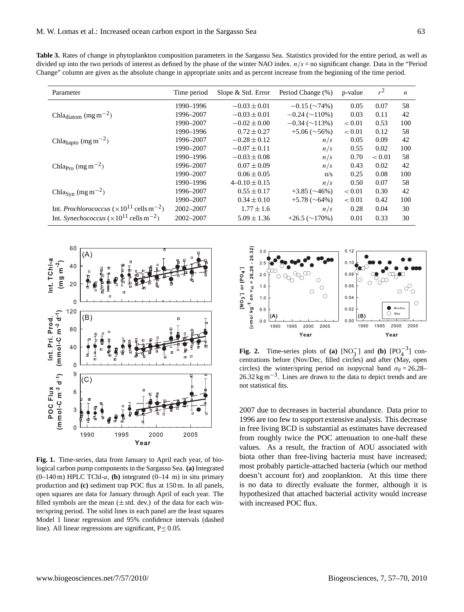**Table 3.** Rates of change in phytoplankton composition parameters in the Sargasso Sea. Statistics provided for the entire period, as well as divided up into the two periods of interest as defined by the phase of the winter NAO index.  $n/s =$  no significant change. Data in the "Period" Change" column are given as the absolute change in appropriate units and as percent increase from the beginning of the time period.

| Parameter                                                              | Time period | Slope & Std. Error  | Period Change (%)                 | p-value | $r^2$  | $\boldsymbol{n}$ |
|------------------------------------------------------------------------|-------------|---------------------|-----------------------------------|---------|--------|------------------|
|                                                                        | 1990–1996   | $-0.03 \pm 0.01$    | $-0.15 \left( \sim 74\% \right)$  | 0.05    | 0.07   | 58               |
| Chla <sub>diatom</sub> $(mg m^{-2})$                                   | 1996-2007   | $-0.03 \pm 0.01$    | $-0.24 \left( \sim 110\% \right)$ | 0.03    | 0.11   | 42               |
|                                                                        | 1990-2007   | $-0.02 \pm 0.00$    | $-0.34 \left( \sim 113\% \right)$ | < 0.01  | 0.53   | 100              |
|                                                                        | 1990-1996   | $0.72 \pm 0.27$     | $+5.06\;(\sim 56\%)$              | < 0.01  | 0.12   | 58               |
| Chla <sub>hapto</sub> (mg m <sup>-2</sup> )                            | 1996-2007   | $-0.28 \pm 0.12$    | n/s                               | 0.05    | 0.09   | 42               |
|                                                                        | 1990-2007   | $-0.07 \pm 0.11$    | n/s                               | 0.55    | 0.02   | 100              |
|                                                                        | 1990-1996   | $-0.03 \pm 0.08$    | n/s                               | 0.70    | < 0.01 | 58               |
| Chla <sub>Pro</sub> (mg m <sup>-2</sup> )                              | 1996-2007   | $0.07 \pm 0.09$     | n/s                               | 0.43    | 0.02   | 42               |
|                                                                        | 1990-2007   | $0.06 \pm 0.05$     | n/s                               | 0.25    | 0.08   | 100              |
|                                                                        | 1990–1996   | $4 - 0.10 \pm 0.15$ | n/s                               | 0.50    | 0.07   | 58               |
| Chla <sub>Syn</sub> (mg m <sup>-2</sup> )                              | 1996-2007   | $0.55 \pm 0.17$     | $+3.85\;(\sim46\%)$               | < 0.01  | 0.30   | 42               |
|                                                                        | 1990-2007   | $0.34 \pm 0.10$     | $+5.78~(~64\%)$                   | < 0.01  | 0.42   | 100              |
| Int. <i>Prochlorococcus</i> ( $\times 10^{11}$ cells m <sup>-2</sup> ) | 2002-2007   | $1.77 \pm 1.6$      | n/s                               | 0.28    | 0.04   | 30               |
| Int. Synechococcus ( $\times$ 10 <sup>11</sup> cells m <sup>-2</sup> ) | 2002-2007   | $5.09 \pm 1.36$     | $+26.5 \left( \sim 170\% \right)$ | 0.01    | 0.33   | 30               |



**Fig. 1.** Time-series, data from January to April each year, of biological carbon pump components in the Sargasso Sea. **(a)** Integrated  $(0-140 \text{ m})$  HPLC TChl-a, **(b)** integrated  $(0-14 \text{ m})$  in situ primary production and **(c)** sediment trap POC flux at 150 m. In all panels, open squares are data for January through April of each year. The filled symbols are the mean  $(\pm \text{ std.} \text{ dev.})$  of the data for each winter/spring period. The solid lines in each panel are the least squares Model 1 linear regression and 95% confidence intervals (dashed line). All linear regressions are significant,  $P \le 0.05$ .



**Fig. 2.** Time-series plots of **(a)**  $[NO_3^-]$  and **(b)**  $[PO_4^{-3}]$  concentrations before (Nov/Dec, filled circles) and after (May, open circles) the winter/spring period on isopycnal band  $\sigma_{\theta} = 26.28-$ 26.32 kg m−<sup>3</sup> . Lines are drawn to the data to depict trends and are not statistical fits.

2007 due to decreases in bacterial abundance. Data prior to 1996 are too few to support extensive analysis. This decrease in free living BCD is substantial as estimates have decreased from roughly twice the POC attenuation to one-half these values. As a result, the fraction of AOU associated with biota other than free-living bacteria must have increased; most probably particle-attached bacteria (which our method doesn't account for) and zooplankton. At this time there is no data to directly evaluate the former, although it is hypothesized that attached bacterial activity would increase with increased POC flux.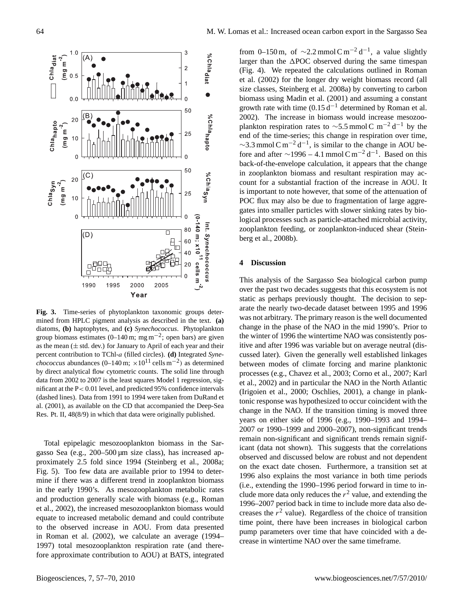

**Fig. 3.** Time-series of phytoplankton taxonomic groups determined from HPLC pigment analysis as described in the text. **(a)** diatoms, **(b)** haptophytes, and **(c)** *Synechococcus*. Phytoplankton group biomass estimates (0–140 m; mg m<sup>-2</sup>; open bars) are given as the mean  $(\pm$  std. dev.) for January to April of each year and their percent contribution to TChl-a (filled circles). **(d)** Integrated *Synechococcus* abundances (0–140 m;  $\times 10^{11}$  cells m<sup>-2</sup>) as determined by direct analytical flow cytometric counts. The solid line through data from 2002 to 2007 is the least squares Model 1 regression, significant at the P< 0.01 level, and predicted 95% confidence intervals (dashed lines). Data from 1991 to 1994 were taken from DuRand et al. (2001), as available on the CD that accompanied the Deep-Sea Res. Pt. II, 48(8/9) in which that data were originally published.

Total epipelagic mesozooplankton biomass in the Sargasso Sea (e.g., 200–500 µm size class), has increased approximately 2.5 fold since 1994 (Steinberg et al., 2008a; Fig. 5). Too few data are available prior to 1994 to determine if there was a different trend in zooplankton biomass in the early 1990's. As mesozooplankton metabolic rates and production generally scale with biomass (e.g., Roman et al., 2002), the increased mesozooplankton biomass would equate to increased metabolic demand and could contribute to the observed increase in AOU. From data presented in Roman et al. (2002), we calculate an average (1994– 1997) total mesozooplankton respiration rate (and therefore approximate contribution to AOU) at BATS, integrated

from 0–150 m, of  $\sim$ 2.2 mmol C m<sup>-2</sup> d<sup>-1</sup>, a value slightly larger than the  $\triangle$ POC observed during the same timespan (Fig. 4). We repeated the calculations outlined in Roman et al. (2002) for the longer dry weight biomass record (all size classes, Steinberg et al. 2008a) by converting to carbon biomass using Madin et al. (2001) and assuming a constant growth rate with time  $(0.15 d^{-1}$  determined by Roman et al. 2002). The increase in biomass would increase mesozooplankton respiration rates to  $\sim$ 5.5 mmol C m<sup>-2</sup> d<sup>-1</sup> by the end of the time-series; this change in respiration over time,  $\sim$ 3.3 mmol C m<sup>-2</sup> d<sup>-1</sup>, is similar to the change in AOU before and after  $\sim$ 1996 – 4.1 mmol C m<sup>-2</sup> d<sup>-1</sup>. Based on this back-of-the-envelope calculation, it appears that the change in zooplankton biomass and resultant respiration may account for a substantial fraction of the increase in AOU. It is important to note however, that some of the attenuation of POC flux may also be due to fragmentation of large aggregates into smaller particles with slower sinking rates by biological processes such as particle-attached microbial activity, zooplankton feeding, or zooplankton-induced shear (Steinberg et al., 2008b).

## **4 Discussion**

This analysis of the Sargasso Sea biological carbon pump over the past two decades suggests that this ecosystem is not static as perhaps previously thought. The decision to separate the nearly two-decade dataset between 1995 and 1996 was not arbitrary. The primary reason is the well documented change in the phase of the NAO in the mid 1990's. Prior to the winter of 1996 the wintertime NAO was consistently positive and after 1996 was variable but on average neutral (discussed later). Given the generally well established linkages between modes of climate forcing and marine planktonic processes (e.g., Chavez et al., 2003; Corno et al., 2007; Karl et al., 2002) and in particular the NAO in the North Atlantic (Irigoien et al., 2000; Oschlies, 2001), a change in planktonic response was hypothesized to occur coincident with the change in the NAO. If the transition timing is moved three years on either side of 1996 (e.g., 1990–1993 and 1994– 2007 or 1990–1999 and 2000–2007), non-significant trends remain non-significant and significant trends remain significant (data not shown). This suggests that the correlations observed and discussed below are robust and not dependent on the exact date chosen. Furthermore, a transition set at 1996 also explains the most variance in both time periods (i.e., extending the 1990–1996 period forward in time to include more data only reduces the  $r^2$  value, and extending the 1996–2007 period back in time to include more data also decreases the  $r<sup>2</sup>$  value). Regardless of the choice of transition time point, there have been increases in biological carbon pump parameters over time that have coincided with a decrease in wintertime NAO over the same timeframe.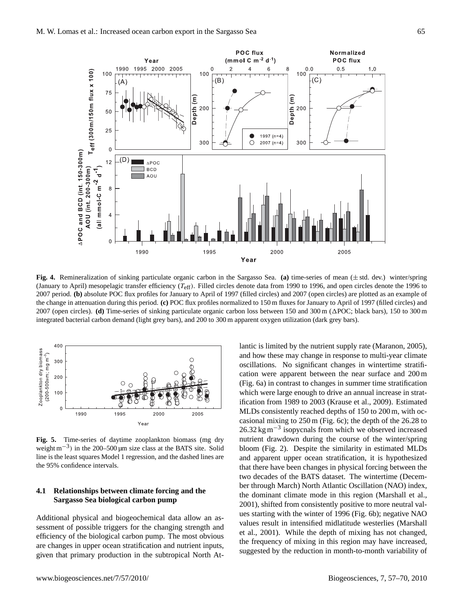

**Fig. 4.** Remineralization of sinking particulate organic carbon in the Sargasso Sea. **(a)** time-series of mean (± std. dev.) winter/spring (January to April) mesopelagic transfer efficiency  $(T_{\text{eff}})$ . Filled circles denote data from 1990 to 1996, and open circles denote the 1996 to 2007 period. **(b)** absolute POC flux profiles for January to April of 1997 (filled circles) and 2007 (open circles) are plotted as an example of the change in attenuation during this period. **(c)** POC flux profiles normalized to 150 m fluxes for January to April of 1997 (filled circles) and 2007 (open circles). **(d)** Time-series of sinking particulate organic carbon loss between 150 and 300 m (1POC; black bars), 150 to 300 m integrated bacterial carbon demand (light grey bars), and 200 to 300 m apparent oxygen utilization (dark grey bars).



**Fig. 5.** Time-series of daytime zooplankton biomass (mg dry weight m<sup>-3</sup>) in the 200–500 μm size class at the BATS site. Solid line is the least squares Model 1 regression, and the dashed lines are the 95% confidence intervals.

# **4.1 Relationships between climate forcing and the Sargasso Sea biological carbon pump**

Additional physical and biogeochemical data allow an assessment of possible triggers for the changing strength and efficiency of the biological carbon pump. The most obvious are changes in upper ocean stratification and nutrient inputs, given that primary production in the subtropical North At-

and how these may change in response to multi-year climate oscillations. No significant changes in wintertime stratification were apparent between the near surface and 200 m (Fig. 6a) in contrast to changes in summer time stratification which were large enough to drive an annual increase in stratification from 1989 to 2003 (Krause et al., 2009). Estimated MLDs consistently reached depths of 150 to 200 m, with occasional mixing to 250 m (Fig. 6c); the depth of the 26.28 to 26.32 kg m−<sup>3</sup> isopycnals from which we observed increased nutrient drawdown during the course of the winter/spring bloom (Fig. 2). Despite the similarity in estimated MLDs and apparent upper ocean stratification, it is hypothesized that there have been changes in physical forcing between the two decades of the BATS dataset. The wintertime (December through March) North Atlantic Oscillation (NAO) index, the dominant climate mode in this region (Marshall et al., 2001), shifted from consistently positive to more neutral values starting with the winter of 1996 (Fig. 6b); negative NAO values result in intensified midlatitude westerlies (Marshall et al., 2001). While the depth of mixing has not changed, the frequency of mixing in this region may have increased, suggested by the reduction in month-to-month variability of

lantic is limited by the nutrient supply rate (Maranon, 2005),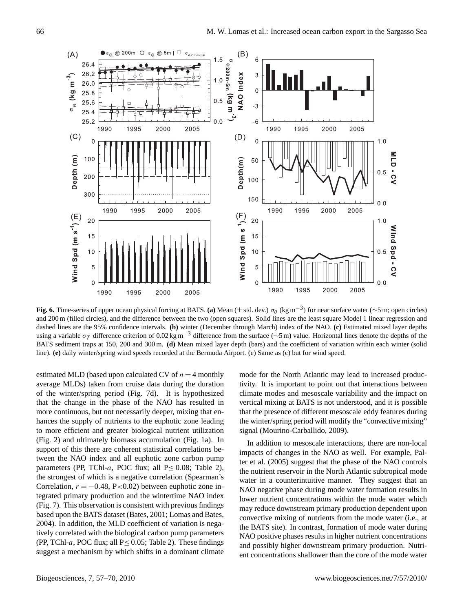

Fig. 6. Time-series of upper ocean physical forcing at BATS. (a) Mean ( $\pm$  std. dev.)  $\sigma_\theta$  (kg m<sup>-3</sup>) for near surface water ( $\sim$ 5 m; open circles) and 200 m (filled circles), and the difference between the two (open squares). Solid lines are the least square Model 1 linear regression and dashed lines are the 95% confidence intervals. **(b)** winter (December through March) index of the NAO. **(c)** Estimated mixed layer depths using a variable  $\sigma_T$  difference criterion of 0.02 kg m<sup>-3</sup> difference from the surface (∼5 m) value. Horizontal lines denote the depths of the BATS sediment traps at 150, 200 and 300 m. **(d)** Mean mixed layer depth (bars) and the coefficient of variation within each winter (solid line). **(e)** daily winter/spring wind speeds recorded at the Bermuda Airport. (e) Same as (c) but for wind speed.

estimated MLD (based upon calculated CV of  $n = 4$  monthly average MLDs) taken from cruise data during the duration of the winter/spring period (Fig. 7d). It is hypothesized that the change in the phase of the NAO has resulted in more continuous, but not necessarily deeper, mixing that enhances the supply of nutrients to the euphotic zone leading to more efficient and greater biological nutrient utilization (Fig. 2) and ultimately biomass accumulation (Fig. 1a). In support of this there are coherent statistical correlations between the NAO index and all euphotic zone carbon pump parameters (PP, TChl-a, POC flux; all  $P \le 0.08$ ; Table 2), the strongest of which is a negative correlation (Spearman's Correlation,  $r = -0.48$ , P<0.02) between euphotic zone integrated primary production and the wintertime NAO index (Fig. 7). This observation is consistent with previous findings based upon the BATS dataset (Bates, 2001; Lomas and Bates, 2004). In addition, the MLD coefficient of variation is negatively correlated with the biological carbon pump parameters (PP, TChl-a, POC flux; all  $P \le 0.05$ ; Table 2). These findings suggest a mechanism by which shifts in a dominant climate mode for the North Atlantic may lead to increased productivity. It is important to point out that interactions between climate modes and mesoscale variability and the impact on vertical mixing at BATS is not understood, and it is possible that the presence of different mesoscale eddy features during the winter/spring period will modify the "convective mixing" signal (Mourino-Carballido, 2009).

In addition to mesoscale interactions, there are non-local impacts of changes in the NAO as well. For example, Palter et al. (2005) suggest that the phase of the NAO controls the nutrient reservoir in the North Atlantic subtropical mode water in a counterintuitive manner. They suggest that an NAO negative phase during mode water formation results in lower nutrient concentrations within the mode water which may reduce downstream primary production dependent upon convective mixing of nutrients from the mode water (i.e., at the BATS site). In contrast, formation of mode water during NAO positive phases results in higher nutrient concentrations and possibly higher downstream primary production. Nutrient concentrations shallower than the core of the mode water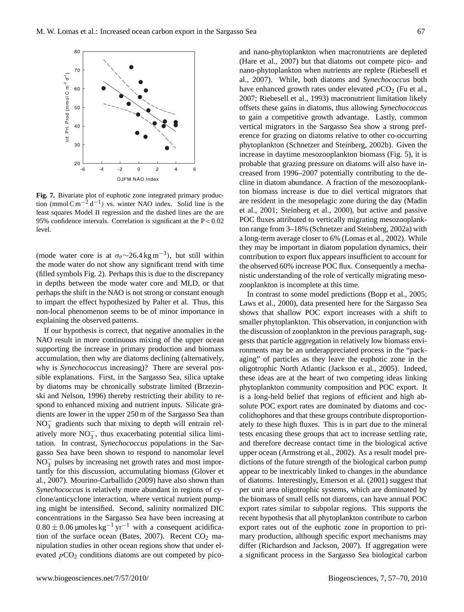

**Fig. 7.** Bivariate plot of euphotic zone integrated primary production (mmol  $\text{C m}^{-2} d^{-1}$ ) vs. winter NAO index. Solid line is the least squares Model II regression and the dashed lines are the are 95% confidence intervals. Correlation is significant at the P< 0.02 level.

(mode water core is at  $\sigma_{\theta} \sim 26.4 \text{ kg m}^{-3}$ ), but still within the mode water do not show any significant trend with time (filled symbols Fig. 2). Perhaps this is due to the discrepancy in depths between the mode water core and MLD, or that perhaps the shift in the NAO is not strong or constant enough to impart the effect hypothesized by Palter et al. Thus, this non-local phenomenon seems to be of minor importance in explaining the observed patterns.

If our hypothesis is correct, that negative anomalies in the NAO result in more continuous mixing of the upper ocean supporting the increase in primary production and biomass accumulation, then why are diatoms declining (alternatively, why is *Synechococcus* increasing)? There are several possible explanations. First, in the Sargasso Sea, silica uptake by diatoms may be chronically substrate limited (Brzezinski and Nelson, 1996) thereby restricting their ability to respond to enhanced mixing and nutrient inputs. Silicate gradients are lower in the upper 250 m of the Sargasso Sea than  $NO<sub>3</sub><sup>-</sup>$  gradients such that mixing to depth will entrain relatively more NO<sub>3</sub>, thus exacerbating potential silica limitation. In contrast, *Synechococcus* populations in the Sargasso Sea have been shown to respond to nanomolar level  $\overline{NO_3}^-$  pulses by increasing net growth rates and most importantly for this discussion, accumulating biomass (Glover et al., 2007). Mourino-Carballido (2009) have also shown than *Synechococcus* is relatively more abundant in regions of cyclone/anticyclone interaction, where vertical nutrient pumping might be intensified. Second, salinity normalized DIC concentrations in the Sargasso Sea have been increasing at  $0.80 \pm 0.06$  µmoles kg<sup>-1</sup> yr<sup>-1</sup> with a consequent acidification of the surface ocean (Bates, 2007). Recent  $CO<sub>2</sub>$  manipulation studies in other ocean regions show that under elevated  $pCO<sub>2</sub>$  conditions diatoms are out competed by picoand nano-phytoplankton when macronutrients are depleted (Hare et al., 2007) but that diatoms out compete pico- and nano-phytoplankton when nutrients are replete (Riebesell et al., 2007). While, both diatoms and *Synechococcus* both have enhanced growth rates under elevated  $pCO<sub>2</sub>$  (Fu et al., 2007; Riebesell et al., 1993) macronutrient limitation likely offsets these gains in diatoms, thus allowing *Synechococcus* to gain a competitive growth advantage. Lastly, common vertical migrators in the Sargasso Sea show a strong preference for grazing on diatoms relative to other co-occurring phytoplankton (Schnetzer and Steinberg, 2002b). Given the increase in daytime mesozooplankton biomass (Fig. 5), it is probable that grazing pressure on diatoms will also have increased from 1996–2007 potentially contributing to the decline in diatom abundance. A fraction of the mesozooplankton biomass increase is due to diel vertical migrators that are resident in the mesopelagic zone during the day (Madin et al., 2001; Steinberg et al., 2000), but active and passive POC fluxes attributed to vertically migrating mesozooplankton range from 3–18% (Schnetzer and Steinberg, 2002a) with a long-term average closer to 6% (Lomas et al., 2002). While they may be important in diatom population dynamics, their contribution to export flux appears insufficient to account for the observed 60% increase POC flux. Consequently a mechanistic understanding of the role of vertically migrating mesozooplankton is incomplete at this time.

In contrast to some model predictions (Bopp et al., 2005; Laws et al., 2000), data presented here for the Sargasso Sea shows that shallow POC export increases with a shift to smaller phytoplankton. This observation, in conjunction with the discussion of zooplankton in the previous paragraph, suggests that particle aggregation in relatively low biomass environments may be an underappreciated process in the "packaging" of particles as they leave the euphotic zone in the oligotrophic North Atlantic (Jackson et al., 2005). Indeed, these ideas are at the heart of two competing ideas linking phytoplankton community composition and POC export. It is a long-held belief that regions of efficient and high absolute POC export rates are dominated by diatoms and coccolithophores and that these groups contribute disproportionately to these high fluxes. This is in part due to the mineral tests encasing these groups that act to increase settling rate, and therefore decrease contact time in the biological active upper ocean (Armstrong et al., 2002). As a result model predictions of the future strength of the biological carbon pump appear to be inextricably linked to changes in the abundance of diatoms. Interestingly, Emerson et al. (2001) suggest that per unit area oligotrophic systems, which are dominated by the biomass of small cells not diatoms, can have annual POC export rates similar to subpolar regions. This supports the recent hypothesis that all phytoplankton contribute to carbon export rates out of the euphotic zone in proportion to primary production, although specific export mechanisms may differ (Richardson and Jackson, 2007). If aggregation were a significant process in the Sargasso Sea biological carbon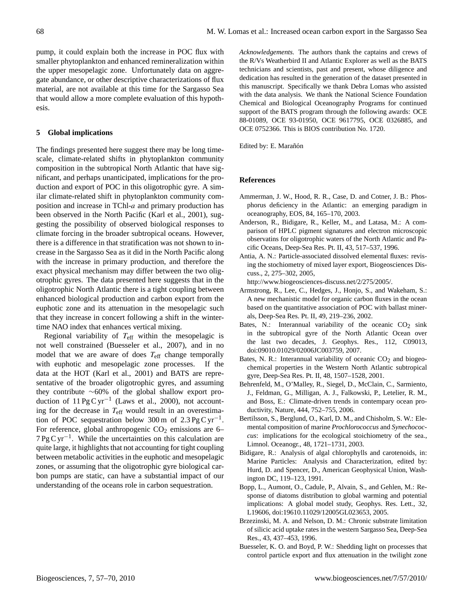pump, it could explain both the increase in POC flux with smaller phytoplankton and enhanced remineralization within the upper mesopelagic zone. Unfortunately data on aggregate abundance, or other descriptive characterizations of flux material, are not available at this time for the Sargasso Sea that would allow a more complete evaluation of this hypothesis.

## **5 Global implications**

The findings presented here suggest there may be long timescale, climate-related shifts in phytoplankton community composition in the subtropical North Atlantic that have significant, and perhaps unanticipated, implications for the production and export of POC in this oligotrophic gyre. A similar climate-related shift in phytoplankton community composition and increase in TChl-a and primary production has been observed in the North Pacific (Karl et al., 2001), suggesting the possibility of observed biological responses to climate forcing in the broader subtropical oceans. However, there is a difference in that stratification was not shown to increase in the Sargasso Sea as it did in the North Pacific along with the increase in primary production, and therefore the exact physical mechanism may differ between the two oligotrophic gyres. The data presented here suggests that in the oligotrophic North Atlantic there is a tight coupling between enhanced biological production and carbon export from the euphotic zone and its attenuation in the mesopelagic such that they increase in concert following a shift in the wintertime NAO index that enhances vertical mixing.

Regional variability of  $T_{\text{eff}}$  within the mesopelagic is not well constrained (Buesseler et al., 2007), and in no model that we are aware of does  $T_{\text{eff}}$  change temporally with euphotic and mesopelagic zone processes. If the data at the HOT (Karl et al., 2001) and BATS are representative of the broader oligotrophic gyres, and assuming they contribute ∼60% of the global shallow export production of  $11 \text{PgC yr}^{-1}$  (Laws et al., 2000), not accounting for the decrease in  $T_{\text{eff}}$  would result in an overestimation of POC sequestration below 300 m of  $2.3 \text{PgC yr}^{-1}$ . For reference, global anthropogenic  $CO<sub>2</sub>$  emissions are 6– 7 Pg C yr<sup>-1</sup>. While the uncertainties on this calculation are quite large, it highlights that not accounting for tight coupling between metabolic activities in the euphotic and mesopelagic zones, or assuming that the oligotrophic gyre biological carbon pumps are static, can have a substantial impact of our understanding of the oceans role in carbon sequestration.

*Acknowledgements.* The authors thank the captains and crews of the R/Vs Weatherbird II and Atlantic Explorer as well as the BATS technicians and scientists, past and present, whose diligence and dedication has resulted in the generation of the dataset presented in this manuscript. Specifically we thank Debra Lomas who assisted with the data analysis. We thank the National Science Foundation Chemical and Biological Oceanography Programs for continued support of the BATS program through the following awards: OCE 88-01089, OCE 93-01950, OCE 9617795, OCE 0326885, and OCE 0752366. This is BIOS contribution No. 1720.

Edited by: E. Marañón

## **References**

- Ammerman, J. W., Hood, R. R., Case, D. and Cotner, J. B.: Phosphorus deficiency in the Atlantic: an emerging paradigm in oceanography, EOS, 84, 165–170, 2003.
- Anderson, R., Bidigare, R., Keller, M., and Latasa, M.: A comparison of HPLC pigment signatures and electron microscopic observatins for oligotrophic waters of the North Atlantic and Pacific Oceans, Deep-Sea Res. Pt. II, 43, 517–537, 1996.
- Antia, A. N.: Particle-associated dissolved elemental fluxes: revising the stochiometry of mixed layer export, Biogeosciences Discuss., 2, 275–302, 2005,

[http://www.biogeosciences-discuss.net/2/275/2005/.](http://www.biogeosciences-discuss.net/2/275/2005/)

- Armstrong, R., Lee, C., Hedges, J., Honjo, S., and Wakeham, S.: A new mechanistic model for organic carbon fluxes in the ocean based on the quantitative association of POC with ballast minerals, Deep-Sea Res. Pt. II, 49, 219–236, 2002.
- Bates, N.: Interannual variability of the oceanic  $CO<sub>2</sub>$  sink in the subtropical gyre of the North Atlantic Ocean over the last two decades, J. Geophys. Res., 112, C09013, doi:09010.01029/02006JC003759, 2007.
- Bates, N. R.: Interannual variability of oceanic  $CO<sub>2</sub>$  and biogeochemical properties in the Western North Atlantic subtropical gyre, Deep-Sea Res. Pt. II, 48, 1507–1528, 2001.
- Behrenfeld, M., O'Malley, R., Siegel, D., McClain, C., Sarmiento, J., Feldman, G., Milligan, A. J., Falkowski, P., Letelier, R. M., and Boss, E.: Climate-driven trends in contempary ocean productivity, Nature, 444, 752–755, 2006.
- Bertilsson, S., Berglund, O., Karl, D. M., and Chisholm, S. W.: Elemental composition of marine *Prochlorococcus* and *Synechococcus*: implications for the ecological stoichiometry of the sea., Limnol. Oceanogr., 48, 1721–1731, 2003.
- Bidigare, R.: Analysis of algal chlorophylls and carotenoids, in: Marine Particles: Analysis and Characterization, edited by: Hurd, D. and Spencer, D., American Geophysical Union, Washington DC, 119–123, 1991.
- Bopp, L., Aumont, O., Cadule, P., Alvain, S., and Gehlen, M.: Response of diatoms distribution to global warming and potential implications: A global model study, Geophys. Res. Lett., 32, L19606, doi:19610.11029/12005GL023653, 2005.
- Brzezinski, M. A. and Nelson, D. M.: Chronic substrate limitation of silicic acid uptake rates in the western Sargasso Sea, Deep-Sea Res., 43, 437–453, 1996.
- Buesseler, K. O. and Boyd, P. W.: Shedding light on processes that control particle export and flux attenuation in the twilight zone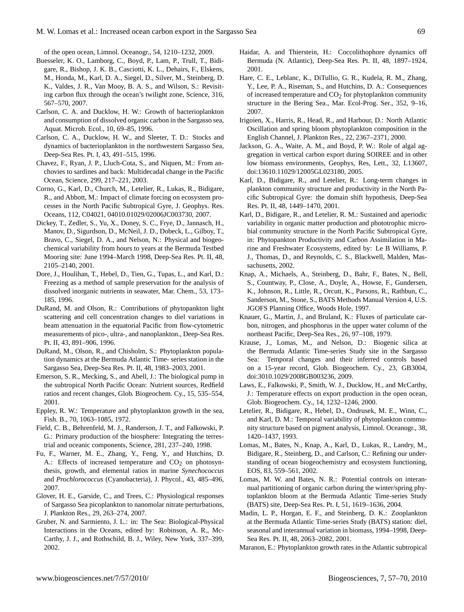of the open ocean, Limnol. Oceanogr., 54, 1210–1232, 2009.

- Buesseler, K. O., Lamborg, C., Boyd, P., Lam, P., Trull, T., Bidigare, R., Bishop, J. K. B., Casciotti, K. L., Dehairs, F., Elskens, M., Honda, M., Karl, D. A., Siegel, D., Silver, M., Steinberg, D. K., Valdes, J. R., Van Mooy, B. A. S., and Wilson, S.: Revisiting carbon flux through the ocean's twilight zone, Science, 316, 567–570, 2007.
- Carlson, C. A. and Ducklow, H. W.: Growth of bacterioplankton and consumption of dissolved organic carbon in the Sargasso sea, Aquat. Microb. Ecol., 10, 69–85, 1996.
- Carlson, C. A., Ducklow, H. W., and Sleeter, T. D.: Stocks and dynamics of bacterioplankton in the northwestern Sargasso Sea, Deep-Sea Res. Pt. I, 43, 491–515, 1996.
- Chavez, F., Ryan, J. P., Lluch-Cota, S., and Niquen, M.: From anchovies to sardines and back: Multidecadal change in the Pacific Ocean, Science, 299, 217–221, 2003.
- Corno, G., Karl, D., Church, M., Letelier, R., Lukas, R., Bidigare, R., and Abbott, M.: Impact of climate forcing on ecosystem processes in the North Pacific Subtropical Gyre, J. Geophys. Res. Oceans, 112, C04021, 04010.01029/02006JC003730, 2007.
- Dickey, T., Zedler, S., Yu, X., Doney, S. C., Frye, D., Jannasch, H., Manov, D., Sigurdson, D., McNeil, J. D., Dobeck, L., Gilboy, T., Bravo, C., Siegel, D. A., and Nelson, N.: Physical and biogeochemical variability from hours to years at the Bermuda Testbed Mooring site: June 1994–March 1998, Deep-Sea Res. Pt. II, 48, 2105–2140, 2001.
- Dore, J., Houlihan, T., Hebel, D., Tien, G., Tupas, L., and Karl, D.: Freezing as a method of sample preservation for the analysis of dissolved inorganic nutrients in seawater, Mar. Chem., 53, 173– 185, 1996.
- DuRand, M. and Olson, R.: Contributions of phytopankton light scattering and cell concentration changes to diel variations in beam attenuation in the equatorial Pacific from flow-cytometric measurements of pico-, ultra-, and nanoplankton., Deep-Sea Res. Pt. II, 43, 891–906, 1996.
- DuRand, M., Olson, R., and Chisholm, S.: Phytoplankton population dynamics at the Bermuda Atlantic Time- series station in the Sargasso Sea, Deep-Sea Res. Pt. II, 48, 1983–2003, 2001.
- Emerson, S. R., Mecking, S., and Abell, J.: The biological pump in the subtropical North Pacific Ocean: Nutrient sources, Redfield ratios and recent changes, Glob. Biogeochem. Cy., 15, 535–554, 2001.
- Eppley, R. W.: Temperature and phytoplankton growth in the sea, Fish. B., 70, 1063–1085, 1972.
- Field, C. B., Behrenfeld, M. J., Randerson, J. T., and Falkowski, P. G.: Primary production of the biosphere: Integrating the terrestrial and oceanic components, Science, 281, 237–240, 1998.
- Fu, F., Warner, M. E., Zhang, Y., Feng, Y., and Hutchins, D. A.: Effects of increased temperature and  $CO<sub>2</sub>$  on photosynthesis, growth, and elemental ratios in marine *Synechococcus* and *Prochlorococcus* (Cyanobacteria), J. Phycol., 43, 485–496, 2007.
- Glover, H. E., Garside, C., and Trees, C.: Physiological responses of Sargasso Sea picoplankton to nanomolar nitrate perturbations, J. Plankton Res., 29, 263–274, 2007.
- Gruber, N. and Sarmiento, J. L.: in: The Sea: Biological-Physical Interactions in the Oceans, edited by: Robinson, A. R., Mc-Carthy, J. J., and Rothschild, B. J., Wiley, New York, 337–399, 2002.
- Haidar, A. and Thierstein, H.: Coccolithophore dynamics off Bermuda (N. Atlantic), Deep-Sea Res. Pt. II, 48, 1897–1924, 2001.
- Hare, C. E., Leblanc, K., DiTullio, G. R., Kudela, R. M., Zhang, Y., Lee, P. A., Riseman, S., and Hutchins, D. A.: Consequences of increased temperature and CO<sub>2</sub> for phytoplankton community structure in the Bering Sea., Mar. Ecol-Prog. Ser., 352, 9–16, 2007.
- Irigoien, X., Harris, R., Head, R., and Harbour, D.: North Atlantic Oscillation and spring bloom phytoplankton composition in the English Channel, J. Plankton Res., 22, 2367–2371, 2000.
- Jackson, G. A., Waite, A. M., and Boyd, P. W.: Role of algal aggregation in vertical carbon export during SOIREE and in other low biomass environments, Geophys, Res, Lett., 32, L13607, doi:13610.11029/12005GL023180, 2005.
- Karl, D., Bidigare, R., and Letelier, R.: Long-term changes in plankton community structure and productivity in the North Pacific Subtropical Gyre: the domain shift hypothesis, Deep-Sea Res. Pt. II, 48, 1449–1470, 2001.
- Karl, D., Bidigare, R., and Letelier, R. M.: Sustained and aperiodic variability in organic matter production and phototrophic microbial community structure in the North Pacific Subtropical Gyre, in: Phytopankton Productivity and Carbon Assimilation in Marine and Freshwater Ecosystems, edited by: Le B Williams, P. J., Thomas, D., and Reynolds, C. S., Blackwell, Malden, Massachusetts, 2002.
- Knap, A., Michaels, A., Steinberg, D., Bahr, F., Bates, N., Bell, S., Countway, P., Close, A., Doyle, A., Howse, F., Gundersen, K., Johnson, R., Little, R., Orcutt, K., Parsons, R., Rathbun, C., Sanderson, M., Stone, S., BATS Methods Manual Version 4, U.S. JGOFS Planning Office, Woods Hole, 1997.
- Knauer, G., Martin, J., and Bruland, K.: Fluxes of particulate carbon, nitrogen, and phosphorus in the upper water column of the northeast Pacific, Deep-Sea Res., 26, 97–108, 1979.
- Krause, J., Lomas, M., and Nelson, D.: Biogenic silica at the Bermuda Atlantic Time-series Study site in the Sargasso Sea: Temporal changes and their inferred controls based on a 15-year record, Glob. Biogeochem. Cy., 23, GB3004, doi:3010.1029/2008GB003236, 2009.
- Laws, E., Falkowski, P., Smith, W. J., Ducklow, H., and McCarthy, J.: Temperature effects on export production in the open ocean, Glob. Biogeochem. Cy., 14, 1232–1246, 2000.
- Letelier, R., Bidigare, R., Hebel, D., Ondrusek, M. E., Winn, C., and Karl, D. M.: Temporal variability of phytoplankton community structure based on pigment analysis, Limnol. Oceanogr., 38, 1420–1437, 1993.
- Lomas, M., Bates, N., Knap, A., Karl, D., Lukas, R., Landry, M., Bidigare, R., Steinberg, D., and Carlson, C.: Refining our understanding of ocean biogeochemistry and ecosystem functioning, EOS, 83, 559–561, 2002.
- Lomas, M. W. and Bates, N. R.: Potential controls on interannual partitioning of organic carbon during the winter/spring phytoplankton bloom at the Bermuda Atlantic Time-series Study (BATS) site, Deep-Sea Res. Pt. I, 51, 1619–1636, 2004.
- Madin, L. P., Horgan, E. F., and Steinberg, D. K.: Zooplankton at the Bermuda Atlantic Time-series Study (BATS) station: diel, seasonal and interannual variation in biomass, 1994–1998, Deep-Sea Res. Pt. II, 48, 2063–2082, 2001.
- Maranon, E.: Phytoplankton growth rates in the Atlantic subtropical